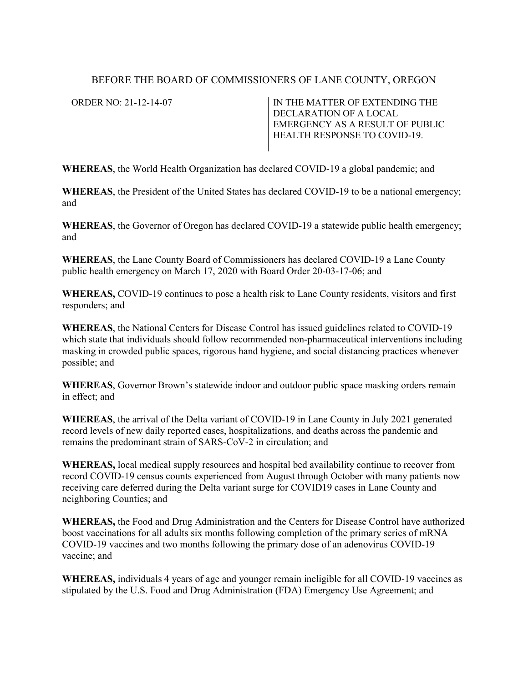## BEFORE THE BOARD OF COMMISSIONERS OF LANE COUNTY, OREGON

ORDER NO: 21-12-14-07 IN THE MATTER OF EXTENDING THE DECLARATION OF A LOCAL EMERGENCY AS A RESULT OF PUBLIC HEALTH RESPONSE TO COVID-19.

**WHEREAS**, the World Health Organization has declared COVID-19 a global pandemic; and

**WHEREAS**, the President of the United States has declared COVID-19 to be a national emergency; and

**WHEREAS**, the Governor of Oregon has declared COVID-19 a statewide public health emergency; and

**WHEREAS**, the Lane County Board of Commissioners has declared COVID-19 a Lane County public health emergency on March 17, 2020 with Board Order 20-03-17-06; and

**WHEREAS,** COVID-19 continues to pose a health risk to Lane County residents, visitors and first responders; and

**WHEREAS**, the National Centers for Disease Control has issued guidelines related to COVID-19 which state that individuals should follow recommended non-pharmaceutical interventions including masking in crowded public spaces, rigorous hand hygiene, and social distancing practices whenever possible; and

**WHEREAS**, Governor Brown's statewide indoor and outdoor public space masking orders remain in effect; and

**WHEREAS**, the arrival of the Delta variant of COVID-19 in Lane County in July 2021 generated record levels of new daily reported cases, hospitalizations, and deaths across the pandemic and remains the predominant strain of SARS-CoV-2 in circulation; and

**WHEREAS,** local medical supply resources and hospital bed availability continue to recover from record COVID-19 census counts experienced from August through October with many patients now receiving care deferred during the Delta variant surge for COVID19 cases in Lane County and neighboring Counties; and

**WHEREAS,** the Food and Drug Administration and the Centers for Disease Control have authorized boost vaccinations for all adults six months following completion of the primary series of mRNA COVID-19 vaccines and two months following the primary dose of an adenovirus COVID-19 vaccine; and

**WHEREAS,** individuals 4 years of age and younger remain ineligible for all COVID-19 vaccines as stipulated by the U.S. Food and Drug Administration (FDA) Emergency Use Agreement; and